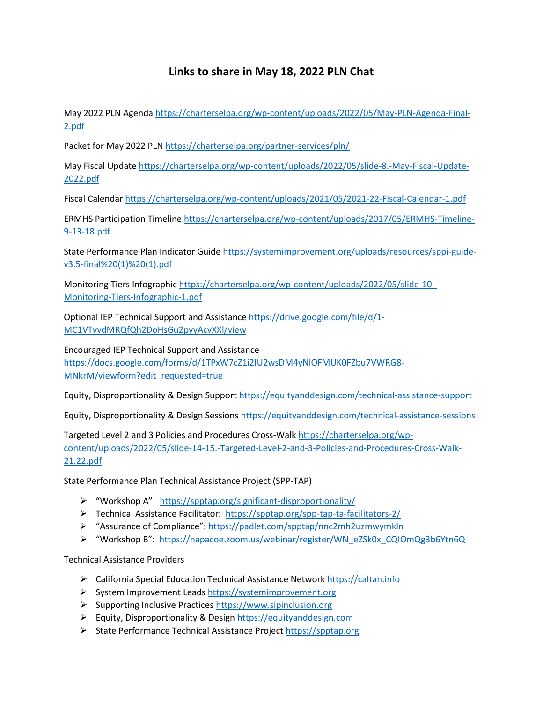## **Links to share in May 18, 2022 PLN Chat**

May 2022 PLN Agenda [https://charterselpa.org/wp-content/uploads/2022/05/May-PLN-Agenda-Final-](https://charterselpa.org/wp-content/uploads/2022/05/May-PLN-Agenda-Final-2.pdf)[2.pdf](https://charterselpa.org/wp-content/uploads/2022/05/May-PLN-Agenda-Final-2.pdf) 

Packet for May 2022 PLN <https://charterselpa.org/partner-services/pln/>

May Fiscal Updat[e https://charterselpa.org/wp-content/uploads/2022/05/slide-8.-May-Fiscal-Update-](https://charterselpa.org/wp-content/uploads/2022/05/slide-8.-May-Fiscal-Update-2022.pdf)[2022.pdf](https://charterselpa.org/wp-content/uploads/2022/05/slide-8.-May-Fiscal-Update-2022.pdf) 

Fiscal Calendar<https://charterselpa.org/wp-content/uploads/2021/05/2021-22-Fiscal-Calendar-1.pdf>

ERMHS Participation Timelin[e https://charterselpa.org/wp-content/uploads/2017/05/ERMHS-Timeline-](https://charterselpa.org/wp-content/uploads/2017/05/ERMHS-Timeline-9-13-18.pdf)[9-13-18.pdf](https://charterselpa.org/wp-content/uploads/2017/05/ERMHS-Timeline-9-13-18.pdf) 

State Performance Plan Indicator Guide [https://systemimprovement.org/uploads/resources/sppi-guide](https://systemimprovement.org/uploads/resources/sppi-guide-v3.5-final%20(1)%20(1).pdf)[v3.5-final%20\(1\)%20\(1\).pdf](https://systemimprovement.org/uploads/resources/sppi-guide-v3.5-final%20(1)%20(1).pdf) 

Monitoring Tiers Infographic https://charterselpa.org/wp-content/uploads/2022/05/slide-10.- Monitoring-Tiers-Infographic-1.pdf

Optional IEP Technical Support and Assistance [https://drive.google.com/file/d/1-](https://drive.google.com/file/d/1-MC1VTvvdMRQfQh2DoHsGu2pyyAcvXXl/view) [MC1VTvvdMRQfQh2DoHsGu2pyyAcvXXl/view](https://drive.google.com/file/d/1-MC1VTvvdMRQfQh2DoHsGu2pyyAcvXXl/view) 

Encouraged IEP Technical Support and Assistance [https://docs.google.com/forms/d/1TPxW7cZ1i2IU2wsDM4yNlOFMUK0FZbu7VWRG8-](https://docs.google.com/forms/d/1TPxW7cZ1i2IU2wsDM4yNlOFMUK0FZbu7VWRG8-MNkrM/viewform?edit_requested=true) MNkrM/viewform?edit\_requested=true

Equity, Disproportionality & Design Suppor[t https://equityanddesign.com/technical-assistance-support](https://equityanddesign.com/technical-assistance-support) 

Equity, Disproportionality & Design Session[s https://equityanddesign.com/technical-assistance-sessions](https://equityanddesign.com/technical-assistance-sessions) 

Targeted Level 2 and 3 Policies and Procedures Cross-Walk [https://charterselpa.org/wp](https://charterselpa.org/wp-content/uploads/2022/05/slide-14-15.-Targeted-Level-2-and-3-Policies-and-Procedures-Cross-Walk-21.22.pdf)[content/uploads/2022/05/slide-14-15.-Targeted-Level-2-and-3-Policies-and-Procedures-Cross-Walk-](https://charterselpa.org/wp-content/uploads/2022/05/slide-14-15.-Targeted-Level-2-and-3-Policies-and-Procedures-Cross-Walk-21.22.pdf)[21.22.pdf](https://charterselpa.org/wp-content/uploads/2022/05/slide-14-15.-Targeted-Level-2-and-3-Policies-and-Procedures-Cross-Walk-21.22.pdf) 

State Performance Plan Technical Assistance Project (SPP-TAP)

- "Workshop A": <https://spptap.org/significant-disproportionality/>
- Technical Assistance Facilitator: <https://spptap.org/spp-tap-ta-facilitators-2/>
- > "Assurance of Compliance": https://padlet.com/spptap/nnc2mh2uzmwymkln
- "Workshop B": [https://napacoe.zoom.us/webinar/register/WN\\_eZSk0x\\_CQIOmQg3b6Ytn6Q](https://napacoe.zoom.us/webinar/register/WN_eZSk0x_CQIOmQg3b6Ytn6Q)

Technical Assistance Providers

- California Special Education Technical Assistance Network [https://caltan.info](https://caltan.info/)
- System Improvement Leads [https://systemimprovement.org](https://systemimprovement.org/)
- $\triangleright$  Supporting Inclusive Practice[s https://www.sipinclusion.org](https://www.sipinclusion.org/)
- ▶ Equity, Disproportionality & Desig[n https://equityanddesign.com](https://equityanddesign.com/)
- State Performance Technical Assistance Project [https://spptap.org](https://spptap.org/)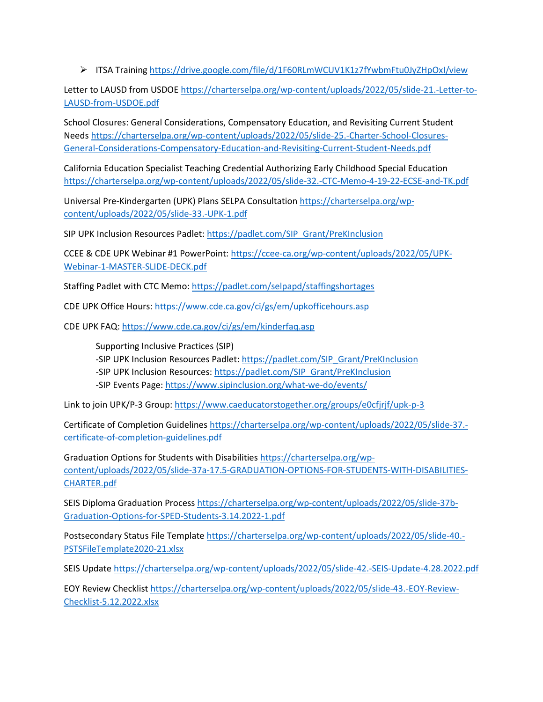ITSA Training<https://drive.google.com/file/d/1F60RLmWCUV1K1z7fYwbmFtu0JyZHpOxI/view>

Letter to LAUSD from USDOE [https://charterselpa.org/wp-content/uploads/2022/05/slide-21.-Letter-to-](https://charterselpa.org/wp-content/uploads/2022/05/slide-21.-Letter-to-LAUSD-from-USDOE.pdf)[LAUSD-from-USDOE.pdf](https://charterselpa.org/wp-content/uploads/2022/05/slide-21.-Letter-to-LAUSD-from-USDOE.pdf) 

School Closures: General Considerations, Compensatory Education, and Revisiting Current Student Needs [https://charterselpa.org/wp-content/uploads/2022/05/slide-25.-Charter-School-Closures-](https://charterselpa.org/wp-content/uploads/2022/05/slide-25.-Charter-School-Closures-General-Considerations-Compensatory-Education-and-Revisiting-Current-Student-Needs.pdf)[General-Considerations-Compensatory-Education-and-Revisiting-Current-Student-Needs.pdf](https://charterselpa.org/wp-content/uploads/2022/05/slide-25.-Charter-School-Closures-General-Considerations-Compensatory-Education-and-Revisiting-Current-Student-Needs.pdf) 

California Education Specialist Teaching Credential Authorizing Early Childhood Special Education <https://charterselpa.org/wp-content/uploads/2022/05/slide-32.-CTC-Memo-4-19-22-ECSE-and-TK.pdf>

Universal Pre-Kindergarten (UPK) Plans SELPA Consultation [https://charterselpa.org/wp](https://charterselpa.org/wp-content/uploads/2022/05/slide-33.-UPK-1.pdf)[content/uploads/2022/05/slide-33.-UPK-1.pdf](https://charterselpa.org/wp-content/uploads/2022/05/slide-33.-UPK-1.pdf) 

SIP UPK Inclusion Resources Padlet: [https://padlet.com/SIP\\_Grant/PreKInclusion](https://padlet.com/SIP_Grant/PreKInclusion) 

CCEE & CDE UPK Webinar #1 PowerPoint: [https://ccee-ca.org/wp-content/uploads/2022/05/UPK-](https://ccee-ca.org/wp-content/uploads/2022/05/UPK-Webinar-1-MASTER-SLIDE-DECK.pdf)[Webinar-1-MASTER-SLIDE-DECK.pdf](https://ccee-ca.org/wp-content/uploads/2022/05/UPK-Webinar-1-MASTER-SLIDE-DECK.pdf) 

Staffing Padlet with CTC Memo[: https://padlet.com/selpapd/staffingshortages](https://padlet.com/selpapd/staffingshortages) 

CDE UPK Office Hours[: https://www.cde.ca.gov/ci/gs/em/upkofficehours.asp](https://www.cde.ca.gov/ci/gs/em/upkofficehours.asp) 

CDE UPK FAQ[: https://www.cde.ca.gov/ci/gs/em/kinderfaq.asp](https://www.cde.ca.gov/ci/gs/em/kinderfaq.asp) 

Supporting Inclusive Practices (SIP)

-SIP UPK Inclusion Resources Padlet: https://padlet.com/SIP\_Grant/PreKInclusion

-SIP UPK Inclusion Resources[: https://padlet.com/SIP\\_Grant/PreKInclusion](https://padlet.com/SIP_Grant/PreKInclusion) 

-SIP Events Page[: https://www.sipinclusion.org/what-we-do/events/](https://www.sipinclusion.org/what-we-do/events/) 

Link to join UPK/P-3 Group:<https://www.caeducatorstogether.org/groups/e0cfjrjf/upk-p-3>

Certificate of Completion Guideline[s https://charterselpa.org/wp-content/uploads/2022/05/slide-37.](https://charterselpa.org/wp-content/uploads/2022/05/slide-37.-certificate-of-completion-guidelines.pdf) [certificate-of-completion-guidelines.pdf](https://charterselpa.org/wp-content/uploads/2022/05/slide-37.-certificate-of-completion-guidelines.pdf) 

Graduation Options for Students with Disabilities [https://charterselpa.org/wp](https://charterselpa.org/wp-content/uploads/2022/05/slide-37a-17.5-GRADUATION-OPTIONS-FOR-STUDENTS-WITH-DISABILITIES-CHARTER.pdf)[content/uploads/2022/05/slide-37a-17.5-GRADUATION-OPTIONS-FOR-STUDENTS-WITH-DISABILITIES-](https://charterselpa.org/wp-content/uploads/2022/05/slide-37a-17.5-GRADUATION-OPTIONS-FOR-STUDENTS-WITH-DISABILITIES-CHARTER.pdf)[CHARTER.pdf](https://charterselpa.org/wp-content/uploads/2022/05/slide-37a-17.5-GRADUATION-OPTIONS-FOR-STUDENTS-WITH-DISABILITIES-CHARTER.pdf) 

SEIS Diploma Graduation Process [https://charterselpa.org/wp-content/uploads/2022/05/slide-37b-](https://charterselpa.org/wp-content/uploads/2022/05/slide-37b-Graduation-Options-for-SPED-Students-3.14.2022-1.pdf)[Graduation-Options-for-SPED-Students-3.14.2022-1.pdf](https://charterselpa.org/wp-content/uploads/2022/05/slide-37b-Graduation-Options-for-SPED-Students-3.14.2022-1.pdf) 

Postsecondary Status File Template [https://charterselpa.org/wp-content/uploads/2022/05/slide-40.-](https://charterselpa.org/wp-content/uploads/2022/05/slide-40.-PSTSFileTemplate2020-21.xlsx) [PSTSFileTemplate2020-21.xlsx](https://charterselpa.org/wp-content/uploads/2022/05/slide-40.-PSTSFileTemplate2020-21.xlsx) 

SEIS Update<https://charterselpa.org/wp-content/uploads/2022/05/slide-42.-SEIS-Update-4.28.2022.pdf>

EOY Review Checklis[t https://charterselpa.org/wp-content/uploads/2022/05/slide-43.-EOY-Review-](https://charterselpa.org/wp-content/uploads/2022/05/slide-43.-EOY-Review-Checklist-5.12.2022.xlsx)[Checklist-5.12.2022.xlsx](https://charterselpa.org/wp-content/uploads/2022/05/slide-43.-EOY-Review-Checklist-5.12.2022.xlsx)